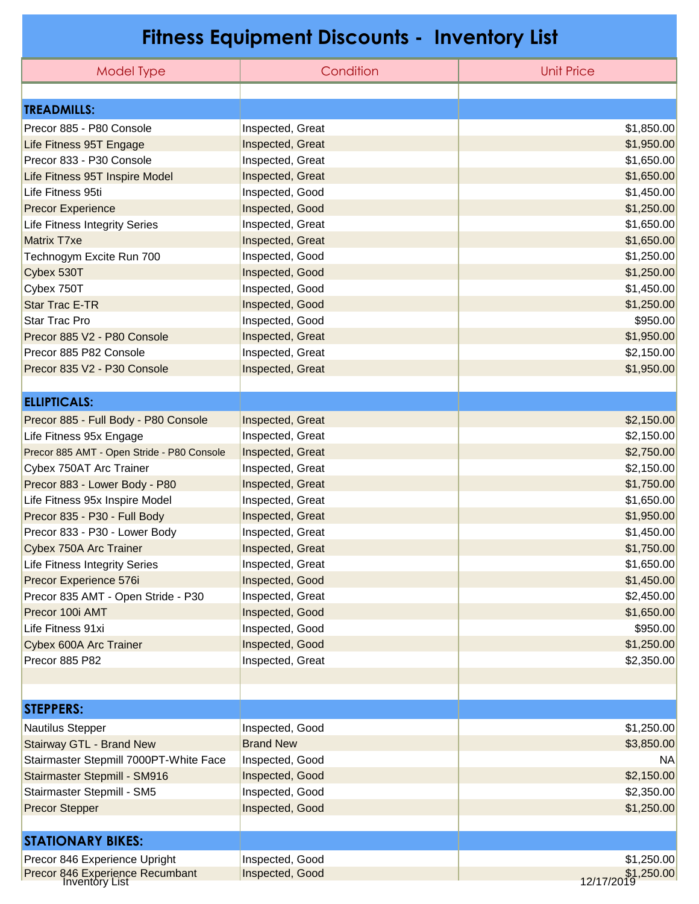## **Fitness Equipment Discounts - Inventory List**

| Model Type                                               | Condition        | <b>Unit Price</b>         |
|----------------------------------------------------------|------------------|---------------------------|
|                                                          |                  |                           |
| <b>TREADMILLS:</b>                                       |                  |                           |
| Precor 885 - P80 Console                                 | Inspected, Great | \$1,850.00                |
| Life Fitness 95T Engage                                  | Inspected, Great | \$1,950.00                |
| Precor 833 - P30 Console                                 | Inspected, Great | \$1,650.00                |
| Life Fitness 95T Inspire Model                           | Inspected, Great | \$1,650.00                |
| Life Fitness 95ti                                        | Inspected, Good  | \$1,450.00                |
| <b>Precor Experience</b>                                 | Inspected, Good  | \$1,250.00                |
| Life Fitness Integrity Series                            | Inspected, Great | \$1,650.00                |
| Matrix T7xe                                              | Inspected, Great | \$1,650.00                |
| Technogym Excite Run 700                                 | Inspected, Good  | \$1,250.00                |
| Cybex 530T                                               | Inspected, Good  | \$1,250.00                |
| Cybex 750T                                               | Inspected, Good  | \$1,450.00                |
| <b>Star Trac E-TR</b>                                    | Inspected, Good  | \$1,250.00                |
| <b>Star Trac Pro</b>                                     | Inspected, Good  | \$950.00                  |
| Precor 885 V2 - P80 Console                              | Inspected, Great | \$1,950.00                |
| Precor 885 P82 Console                                   | Inspected, Great | \$2,150.00                |
| Precor 835 V2 - P30 Console                              | Inspected, Great | \$1,950.00                |
|                                                          |                  |                           |
| <b>ELLIPTICALS:</b>                                      |                  |                           |
| Precor 885 - Full Body - P80 Console                     | Inspected, Great | \$2,150.00                |
| Life Fitness 95x Engage                                  | Inspected, Great | \$2,150.00                |
| Precor 885 AMT - Open Stride - P80 Console               | Inspected, Great | \$2,750.00                |
| Cybex 750AT Arc Trainer                                  | Inspected, Great | \$2,150.00                |
| Precor 883 - Lower Body - P80                            | Inspected, Great | \$1,750.00                |
| Life Fitness 95x Inspire Model                           | Inspected, Great | \$1,650.00                |
| Precor 835 - P30 - Full Body                             | Inspected, Great | \$1,950.00                |
| Precor 833 - P30 - Lower Body                            | Inspected, Great | \$1,450.00                |
| Cybex 750A Arc Trainer                                   | Inspected, Great | \$1,750.00                |
| <b>Life Fitness Integrity Series</b>                     | Inspected, Great | \$1,650.00                |
| Precor Experience 576i                                   | Inspected, Good  | \$1,450.00                |
| Precor 835 AMT - Open Stride - P30                       | Inspected, Great | \$2,450.00                |
| Precor 100i AMT                                          | Inspected, Good  | \$1,650.00                |
| Life Fitness 91xi                                        | Inspected, Good  | \$950.00                  |
| Cybex 600A Arc Trainer                                   | Inspected, Good  | \$1,250.00                |
| Precor 885 P82                                           | Inspected, Great | \$2,350.00                |
|                                                          |                  |                           |
|                                                          |                  |                           |
| <b>STEPPERS:</b>                                         |                  |                           |
| <b>Nautilus Stepper</b>                                  | Inspected, Good  | \$1,250.00                |
| Stairway GTL - Brand New                                 | <b>Brand New</b> | \$3,850.00                |
| Stairmaster Stepmill 7000PT-White Face                   | Inspected, Good  | NA                        |
| Stairmaster Stepmill - SM916                             | Inspected, Good  | \$2,150.00                |
| Stairmaster Stepmill - SM5                               | Inspected, Good  | \$2,350.00                |
| <b>Precor Stepper</b>                                    | Inspected, Good  | \$1,250.00                |
|                                                          |                  |                           |
| <b>STATIONARY BIKES:</b>                                 |                  |                           |
| Precor 846 Experience Upright                            | Inspected, Good  | \$1,250.00                |
| Precor 846 Experience Recumbant<br><b>Inventory List</b> | Inspected, Good  | \$1,250.00<br> 12/17/2019 |